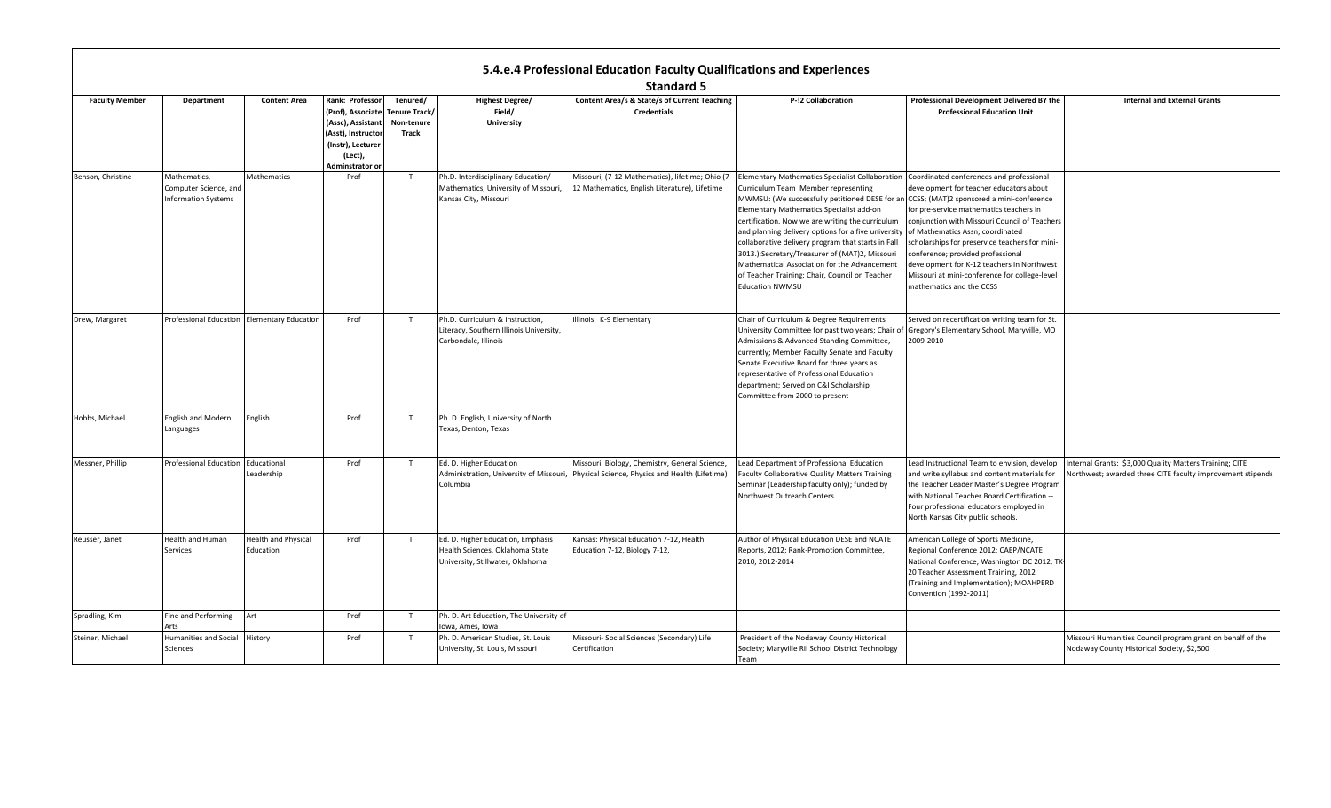|                       |                                                                     |                                         |                                                                                                                                   |                                                  |                                                                                                          | 5.4.e.4 Professional Education Faculty Qualifications and Experiences                                                                    |                                                                                                                                                                                                                                                                                                                                                                                                                                                                                                                                                                                                                      |                                                                                                                                                                                                                                                                                                                                                                                                   |                                                                                                                      |
|-----------------------|---------------------------------------------------------------------|-----------------------------------------|-----------------------------------------------------------------------------------------------------------------------------------|--------------------------------------------------|----------------------------------------------------------------------------------------------------------|------------------------------------------------------------------------------------------------------------------------------------------|----------------------------------------------------------------------------------------------------------------------------------------------------------------------------------------------------------------------------------------------------------------------------------------------------------------------------------------------------------------------------------------------------------------------------------------------------------------------------------------------------------------------------------------------------------------------------------------------------------------------|---------------------------------------------------------------------------------------------------------------------------------------------------------------------------------------------------------------------------------------------------------------------------------------------------------------------------------------------------------------------------------------------------|----------------------------------------------------------------------------------------------------------------------|
|                       |                                                                     |                                         |                                                                                                                                   |                                                  |                                                                                                          | <b>Standard 5</b>                                                                                                                        |                                                                                                                                                                                                                                                                                                                                                                                                                                                                                                                                                                                                                      |                                                                                                                                                                                                                                                                                                                                                                                                   |                                                                                                                      |
| <b>Faculty Member</b> | <b>Department</b>                                                   | <b>Content Area</b>                     | Rank: Professor<br>(Prof), Associate<br>(Assc), Assistant<br>(Asst), Instructor<br>(Instr), Lecturer<br>(Lect),<br>Adminstrator o | Tenured/<br>Tenure Track/<br>Non-tenure<br>Track | <b>Highest Degree/</b><br>Field/<br>University                                                           | Content Area/s & State/s of Current Teaching<br><b>Credentials</b>                                                                       | P-!2 Collaboration                                                                                                                                                                                                                                                                                                                                                                                                                                                                                                                                                                                                   | Professional Development Delivered BY the<br><b>Professional Education Unit</b>                                                                                                                                                                                                                                                                                                                   | <b>Internal and External Grants</b>                                                                                  |
| Benson, Christine     | Mathematics,<br>Computer Science, and<br><b>Information Systems</b> | <b>Mathematics</b>                      | Prof                                                                                                                              | T                                                | Ph.D. Interdisciplinary Education/<br>Mathematics, University of Missouri,<br>Kansas City, Missouri      | Missouri, (7-12 Mathematics), lifetime; Ohio (7-<br>12 Mathematics, English Literature), Lifetime                                        | <b>Elementary Mathematics Specialist Collaboration</b><br>Curriculum Team Member representing<br>MWMSU: (We successfully petitioned DESE for an CCSS; (MAT)2 sponsored a mini-conference<br>Elementary Mathematics Specialist add-on<br>certification. Now we are writing the curriculum<br>and planning delivery options for a five university of Mathematics Assn; coordinated<br>collaborative delivery program that starts in Fall<br>3013.);Secretary/Treasurer of (MAT)2, Missouri<br>Mathematical Association for the Advancement<br>of Teacher Training; Chair, Council on Teacher<br><b>Education NWMSU</b> | Coordinated conferences and professional<br>development for teacher educators about<br>for pre-service mathematics teachers in<br>conjunction with Missouri Council of Teachers<br>scholarships for preservice teachers for mini-<br>conference; provided professional<br>development for K-12 teachers in Northwest<br>Missouri at mini-conference for college-level<br>mathematics and the CCSS |                                                                                                                      |
| Drew, Margaret        | Professional Education Elementary Education                         |                                         | Prof                                                                                                                              | T                                                | Ph.D. Curriculum & Instruction,<br>Literacy, Southern Illinois University,<br>Carbondale, Illinois       | Illinois: K-9 Elementary                                                                                                                 | Chair of Curriculum & Degree Requirements<br>University Committee for past two years; Chair of<br>Admissions & Advanced Standing Committee,<br>currently; Member Faculty Senate and Faculty<br>Senate Executive Board for three years as<br>representative of Professional Education<br>department; Served on C&I Scholarship<br>Committee from 2000 to present                                                                                                                                                                                                                                                      | Served on recertification writing team for St.<br>Gregory's Elementary School, Maryville, MO<br>2009-2010                                                                                                                                                                                                                                                                                         |                                                                                                                      |
| Hobbs, Michael        | <b>English and Modern</b><br>Languages                              | English                                 | Prof                                                                                                                              | T                                                | Ph. D. English, University of North<br>Texas, Denton, Texas                                              |                                                                                                                                          |                                                                                                                                                                                                                                                                                                                                                                                                                                                                                                                                                                                                                      |                                                                                                                                                                                                                                                                                                                                                                                                   |                                                                                                                      |
| Messner, Phillip      | Professional Education                                              | Educational<br>Leadership               | Prof                                                                                                                              | T                                                | Ed. D. Higher Education<br>Columbia                                                                      | Missouri Biology, Chemistry, General Science,<br>Administration, University of Missouri, Physical Science, Physics and Health (Lifetime) | ead Department of Professional Education<br>Faculty Collaborative Quality Matters Training<br>Seminar (Leadership faculty only); funded by<br>Northwest Outreach Centers                                                                                                                                                                                                                                                                                                                                                                                                                                             | Lead Instructional Team to envision, develop<br>and write syllabus and content materials for<br>the Teacher Leader Master's Degree Program<br>with National Teacher Board Certification --<br>Four professional educators employed in<br>North Kansas City public schools.                                                                                                                        | nternal Grants: \$3,000 Quality Matters Training; CITE<br>Northwest; awarded three CITE faculty improvement stipends |
| Reusser, Janet        | Health and Human<br>Services                                        | <b>Health and Physical</b><br>Education | Prof                                                                                                                              | T                                                | Ed. D. Higher Education, Emphasis<br>Health Sciences, Oklahoma State<br>University, Stillwater, Oklahoma | Kansas: Physical Education 7-12, Health<br>Education 7-12, Biology 7-12,                                                                 | Author of Physical Education DESE and NCATE<br>Reports, 2012; Rank-Promotion Committee,<br>2010, 2012-2014                                                                                                                                                                                                                                                                                                                                                                                                                                                                                                           | American College of Sports Medicine,<br>Regional Conference 2012; CAEP/NCATE<br>National Conference, Washington DC 2012; TK<br>20 Teacher Assessment Training, 2012<br>(Training and Implementation); MOAHPERD<br>Convention (1992-2011)                                                                                                                                                          |                                                                                                                      |
| Spradling, Kim        | Fine and Performing<br>Arts                                         | Art                                     | Prof                                                                                                                              | T                                                | Ph. D. Art Education, The University of<br>lowa, Ames, Iowa                                              |                                                                                                                                          |                                                                                                                                                                                                                                                                                                                                                                                                                                                                                                                                                                                                                      |                                                                                                                                                                                                                                                                                                                                                                                                   |                                                                                                                      |
| Steiner, Michael      | <b>Humanities and Social</b><br>Sciences                            | History                                 | Prof                                                                                                                              | T                                                | Ph. D. American Studies, St. Louis<br>University, St. Louis, Missouri                                    | Missouri- Social Sciences (Secondary) Life<br>Certification                                                                              | President of the Nodaway County Historical<br>Society; Maryville RII School District Technology<br>Team                                                                                                                                                                                                                                                                                                                                                                                                                                                                                                              |                                                                                                                                                                                                                                                                                                                                                                                                   | Missouri Humanities Council program grant on behalf of the<br>Nodaway County Historical Society, \$2,500             |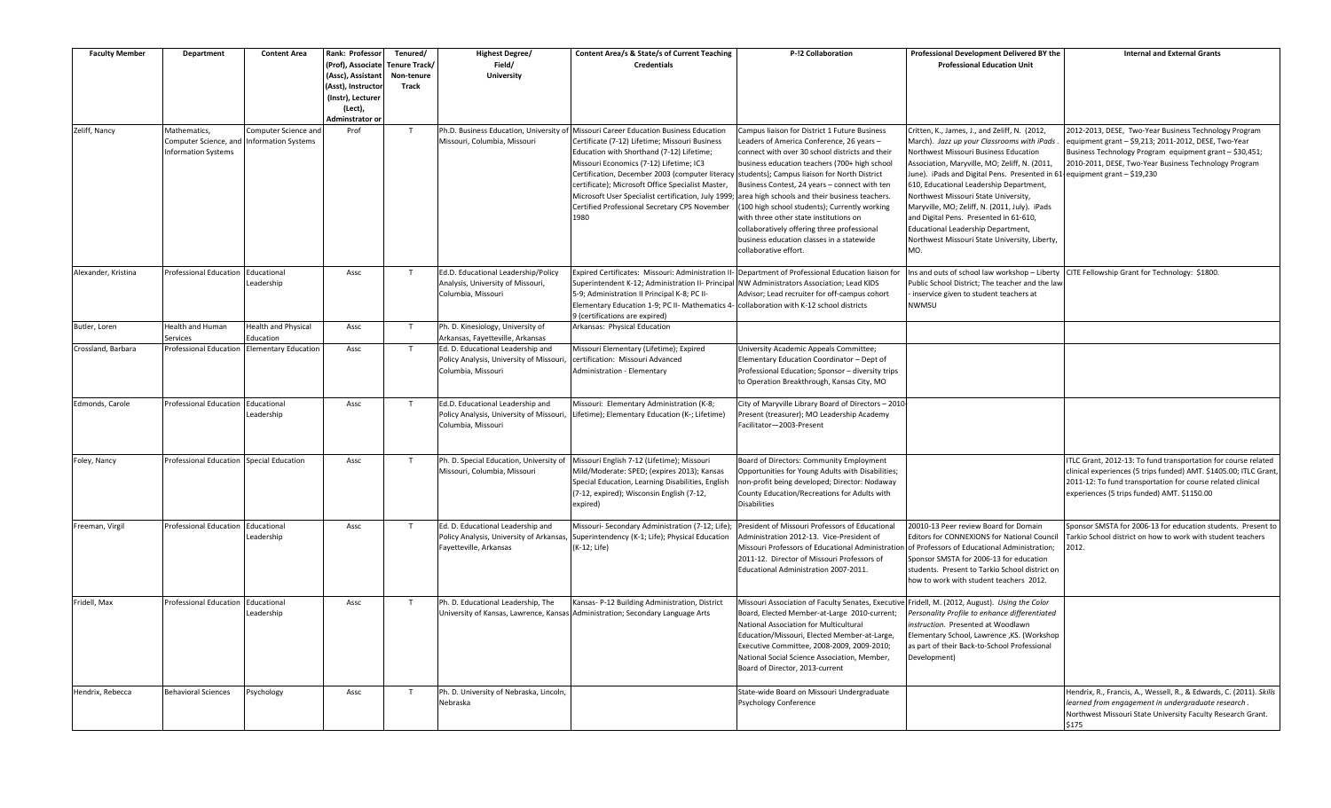| <b>Faculty Member</b> | Department                                          | <b>Content Area</b>                    | Rank: Professor<br>(Prof), Associate<br>(Assc), Assistant<br>(Asst), Instructor<br>(Instr), Lecturer | Tenured/<br>Tenure Track/<br>Non-tenure<br>Track | <b>Highest Degree/</b><br>Field/<br><b>University</b>                                                                                   | Content Area/s & State/s of Current Teaching<br><b>Credentials</b>                                                                                                                                                                                                                                                                                             | P-!2 Collaboration                                                                                                                                                                                                                                                                                                                                                                                                                                                                                               | Professional Development Delivered BY the<br><b>Professional Education Unit</b>                                                                                                                                                                                                                                                                                                                                                                                                                | <b>Internal and External Grants</b>                                                                                                                                                                                                               |
|-----------------------|-----------------------------------------------------|----------------------------------------|------------------------------------------------------------------------------------------------------|--------------------------------------------------|-----------------------------------------------------------------------------------------------------------------------------------------|----------------------------------------------------------------------------------------------------------------------------------------------------------------------------------------------------------------------------------------------------------------------------------------------------------------------------------------------------------------|------------------------------------------------------------------------------------------------------------------------------------------------------------------------------------------------------------------------------------------------------------------------------------------------------------------------------------------------------------------------------------------------------------------------------------------------------------------------------------------------------------------|------------------------------------------------------------------------------------------------------------------------------------------------------------------------------------------------------------------------------------------------------------------------------------------------------------------------------------------------------------------------------------------------------------------------------------------------------------------------------------------------|---------------------------------------------------------------------------------------------------------------------------------------------------------------------------------------------------------------------------------------------------|
| Zeliff, Nancy         | Mathematics,                                        | Computer Science and                   | (Lect),<br>Adminstrator or<br>Prof                                                                   | T                                                |                                                                                                                                         | Ph.D. Business Education, University of Missouri Career Education Business Education                                                                                                                                                                                                                                                                           | Campus liaison for District 1 Future Business                                                                                                                                                                                                                                                                                                                                                                                                                                                                    | Critten, K., James, J., and Zeliff, N. (2012,                                                                                                                                                                                                                                                                                                                                                                                                                                                  | 2012-2013, DESE, Two-Year Business Technology Program                                                                                                                                                                                             |
|                       | Computer Science, and<br><b>Information Systems</b> | <b>Information Systems</b>             |                                                                                                      |                                                  | Missouri, Columbia, Missouri                                                                                                            | Certificate (7-12) Lifetime; Missouri Business<br>Education with Shorthand (7-12) Lifetime;<br>Missouri Economics (7-12) Lifetime; IC3<br>Certification, December 2003 (computer literacy<br>certificate); Microsoft Office Specialist Master,<br>Microsoft User Specialist certification, July 1999;<br>Certified Professional Secretary CPS November<br>1980 | Leaders of America Conference, 26 years -<br>connect with over 30 school districts and their<br>business education teachers (700+ high school<br>students); Campus liaison for North District<br>Business Contest, 24 years - connect with ten<br>area high schools and their business teachers.<br>(100 high school students); Currently working<br>with three other state institutions on<br>collaboratively offering three professional<br>business education classes in a statewide<br>collaborative effort. | March). Jazz up your Classrooms with iPads.<br>Northwest Missouri Business Education<br>Association, Maryville, MO; Zeliff, N. (2011,<br>June). iPads and Digital Pens. Presented in 61-equipment grant - \$19,230<br>610, Educational Leadership Department,<br>Northwest Missouri State University,<br>Maryville, MO; Zeliff, N. (2011, July). iPads<br>and Digital Pens. Presented in 61-610,<br>Educational Leadership Department,<br>Northwest Missouri State University, Liberty,<br>MO. | equipment grant - \$9,213; 2011-2012, DESE, Two-Year<br>Business Technology Program equipment grant - \$30,451;<br>2010-2011, DESE, Two-Year Business Technology Program                                                                          |
| Alexander, Kristina   | Professional Education                              | Educational<br>Leadership              | Assc                                                                                                 | T                                                | Ed.D. Educational Leadership/Policy<br>Analysis, University of Missouri,<br>Columbia, Missouri                                          | Expired Certificates: Missouri: Administration II-<br>Superintendent K-12; Administration II- Principal<br>5-9; Administration II Principal K-8; PC II-<br>Elementary Education 1-9; PC II- Mathematics 4- collaboration with K-12 school districts<br>9 (certifications are expired)                                                                          | Department of Professional Education liaison fo<br>NW Administrators Association; Lead KIDS<br>Advisor; Lead recruiter for off-campus cohort                                                                                                                                                                                                                                                                                                                                                                     | Ins and outs of school law workshop - Liberty<br>Public School District; The teacher and the law<br>inservice given to student teachers at<br>NWMSU                                                                                                                                                                                                                                                                                                                                            | CITE Fellowship Grant for Technology: \$1800.                                                                                                                                                                                                     |
| Butler, Loren         | <b>Health and Human</b><br>ervices                  | <b>Health and Physical</b><br>ducation | Assc                                                                                                 | $\mathsf{T}$                                     | Ph. D. Kinesiology, University of                                                                                                       | Arkansas: Physical Education                                                                                                                                                                                                                                                                                                                                   |                                                                                                                                                                                                                                                                                                                                                                                                                                                                                                                  |                                                                                                                                                                                                                                                                                                                                                                                                                                                                                                |                                                                                                                                                                                                                                                   |
| Crossland, Barbara    | Professional Education                              | <b>Elementary Education</b>            | Assc                                                                                                 | $\mathsf{T}$                                     | Arkansas, Fayetteville, Arkansas<br>Ed. D. Educational Leadership and<br>Policy Analysis, University of Missouri,<br>Columbia, Missouri | Missouri Elementary (Lifetime); Expired<br>certification: Missouri Advanced<br>Administration - Elementary                                                                                                                                                                                                                                                     | University Academic Appeals Committee;<br>Elementary Education Coordinator - Dept of<br>Professional Education; Sponsor - diversity trips<br>to Operation Breakthrough, Kansas City, MO                                                                                                                                                                                                                                                                                                                          |                                                                                                                                                                                                                                                                                                                                                                                                                                                                                                |                                                                                                                                                                                                                                                   |
| Edmonds, Carole       | Professional Education                              | Educational<br>Leadership              | Assc                                                                                                 | T                                                | Ed.D. Educational Leadership and<br>Columbia, Missouri                                                                                  | Missouri: Elementary Administration (K-8;<br>Policy Analysis, University of Missouri, Lifetime); Elementary Education (K-; Lifetime)                                                                                                                                                                                                                           | City of Maryville Library Board of Directors - 2010-<br>Present (treasurer); MO Leadership Academy<br>Facilitator-2003-Present                                                                                                                                                                                                                                                                                                                                                                                   |                                                                                                                                                                                                                                                                                                                                                                                                                                                                                                |                                                                                                                                                                                                                                                   |
| Foley, Nancy          | Professional Education                              | <b>Special Education</b>               | Assc                                                                                                 | T                                                | Missouri, Columbia, Missouri                                                                                                            | Ph. D. Special Education, University of Missouri English 7-12 (Lifetime); Missouri<br>Mild/Moderate: SPED; (expires 2013); Kansas<br>Special Education, Learning Disabilities, English<br>(7-12, expired); Wisconsin English (7-12,<br>expired)                                                                                                                | Board of Directors: Community Employment<br>Opportunities for Young Adults with Disabilities;<br>non-profit being developed; Director: Nodaway<br>County Education/Recreations for Adults with<br><b>Disabilities</b>                                                                                                                                                                                                                                                                                            |                                                                                                                                                                                                                                                                                                                                                                                                                                                                                                | ITLC Grant, 2012-13: To fund transportation for course related<br>clinical experiences (5 trips funded) AMT. \$1405.00; ITLC Grant,<br>2011-12: To fund transportation for course related clinical<br>experiences (5 trips funded) AMT. \$1150.00 |
| Freeman, Virgil       | Professional Education Educational                  | Leadership                             | Assc                                                                                                 | T                                                | Ed. D. Educational Leadership and<br>Policy Analysis, University of Arkansas,<br>Fayetteville, Arkansas                                 | Missouri- Secondary Administration (7-12; Life);<br>Superintendency (K-1; Life); Physical Education<br>(K-12; Life)                                                                                                                                                                                                                                            | President of Missouri Professors of Educational<br>Administration 2012-13. Vice-President of<br>Missouri Professors of Educational Administratio<br>2011-12. Director of Missouri Professors of<br>Educational Administration 2007-2011.                                                                                                                                                                                                                                                                         | 20010-13 Peer review Board for Domain<br><b>Editors for CONNEXIONS for National Council</b><br>of Professors of Educational Administration;<br>Sponsor SMSTA for 2006-13 for education<br>students. Present to Tarkio School district on<br>how to work with student teachers 2012.                                                                                                                                                                                                            | Sponsor SMSTA for 2006-13 for education students. Present to<br>Tarkio School district on how to work with student teachers<br>2012.                                                                                                              |
| Fridell, Max          | Professional Education Educational                  | Leadership                             | Assc                                                                                                 | T                                                | Ph. D. Educational Leadership, The                                                                                                      | Kansas- P-12 Building Administration, District<br>University of Kansas, Lawrence, Kansas Administration; Secondary Language Arts                                                                                                                                                                                                                               | Missouri Association of Faculty Senates, Executive Fridell, M. (2012, August). Using the Color<br>Board, Elected Member-at-Large 2010-current;<br>National Association for Multicultural<br>Education/Missouri, Elected Member-at-Large,<br>Executive Committee, 2008-2009, 2009-2010;<br>National Social Science Association, Member,<br>Board of Director, 2013-current                                                                                                                                        | Personality Profile to enhance differentiated<br>instruction. Presented at Woodlawn<br>Elementary School, Lawrence , KS. (Workshop<br>as part of their Back-to-School Professional<br>Development)                                                                                                                                                                                                                                                                                             |                                                                                                                                                                                                                                                   |
| Hendrix, Rebecca      | <b>Behavioral Sciences</b>                          | Psychology                             | Assc                                                                                                 | T                                                | Ph. D. University of Nebraska, Lincoln,<br>Nebraska                                                                                     |                                                                                                                                                                                                                                                                                                                                                                | State-wide Board on Missouri Undergraduate<br>Psychology Conference                                                                                                                                                                                                                                                                                                                                                                                                                                              |                                                                                                                                                                                                                                                                                                                                                                                                                                                                                                | Hendrix, R., Francis, A., Wessell, R., & Edwards, C. (2011). Skills<br>learned from engagement in undergraduate research.<br>Northwest Missouri State University Faculty Research Grant.<br>\$175                                                 |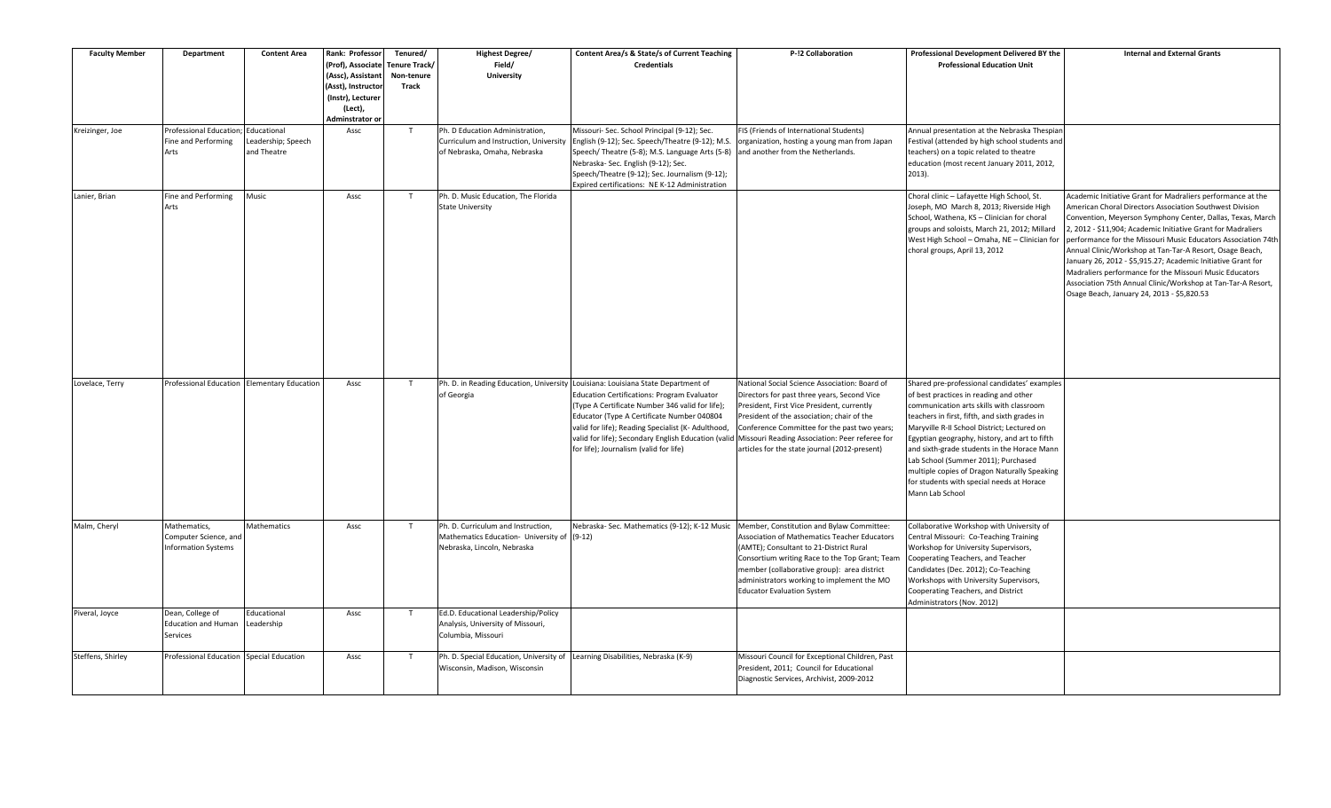| <b>Faculty Member</b> | Department                                                          | <b>Content Area</b>                             | Rank: Professor<br>(Prof), Associate<br>(Assc), Assistant<br>(Asst), Instructor<br>(Instr), Lecturer<br>(Lect),<br>Adminstrator or | Tenured/<br>Tenure Track/<br>Non-tenure<br><b>Track</b> | <b>Highest Degree/</b><br>Field/<br><b>University</b>                                                            | Content Area/s & State/s of Current Teaching<br><b>Credentials</b>                                                                                                                                                                                                                                                                                                                      | P-!2 Collaboration                                                                                                                                                                                                                                                                                                                          | Professional Development Delivered BY the<br><b>Professional Education Unit</b>                                                                                                                                                                                                                                                                                                                                                                                                           | <b>Internal and External Grants</b>                                                                                                                                                                                                                                                                                                                                                                                                                                                                                                                                                                                         |
|-----------------------|---------------------------------------------------------------------|-------------------------------------------------|------------------------------------------------------------------------------------------------------------------------------------|---------------------------------------------------------|------------------------------------------------------------------------------------------------------------------|-----------------------------------------------------------------------------------------------------------------------------------------------------------------------------------------------------------------------------------------------------------------------------------------------------------------------------------------------------------------------------------------|---------------------------------------------------------------------------------------------------------------------------------------------------------------------------------------------------------------------------------------------------------------------------------------------------------------------------------------------|-------------------------------------------------------------------------------------------------------------------------------------------------------------------------------------------------------------------------------------------------------------------------------------------------------------------------------------------------------------------------------------------------------------------------------------------------------------------------------------------|-----------------------------------------------------------------------------------------------------------------------------------------------------------------------------------------------------------------------------------------------------------------------------------------------------------------------------------------------------------------------------------------------------------------------------------------------------------------------------------------------------------------------------------------------------------------------------------------------------------------------------|
| Kreizinger, Joe       | Professional Education;<br>Fine and Performing<br>Arts              | Educational<br>eadership; Speech<br>and Theatre | Assc                                                                                                                               | T                                                       | Ph. D Education Administration,<br>Curriculum and Instruction, University<br>of Nebraska, Omaha, Nebraska        | Missouri- Sec. School Principal (9-12); Sec.<br>English (9-12); Sec. Speech/Theatre (9-12); M.S.<br>Speech/Theatre (5-8); M.S. Language Arts (5-8)<br>Nebraska- Sec. English (9-12); Sec.<br>Speech/Theatre (9-12); Sec. Journalism (9-12);<br>Expired certifications: NE K-12 Administration                                                                                           | FIS (Friends of International Students)<br>organization, hosting a young man from Japan<br>and another from the Netherlands.                                                                                                                                                                                                                | Annual presentation at the Nebraska Thespian<br>Festival (attended by high school students and<br>teachers) on a topic related to theatre<br>education (most recent January 2011, 2012,<br>2013).                                                                                                                                                                                                                                                                                         |                                                                                                                                                                                                                                                                                                                                                                                                                                                                                                                                                                                                                             |
| Lanier, Brian         | Fine and Performing<br>Arts                                         | Music                                           | Assc                                                                                                                               | T                                                       | Ph. D. Music Education, The Florida<br><b>State University</b>                                                   |                                                                                                                                                                                                                                                                                                                                                                                         |                                                                                                                                                                                                                                                                                                                                             | Choral clinic - Lafayette High School, St.<br>Joseph, MO March 8, 2013; Riverside High<br>School, Wathena, KS - Clinician for choral<br>groups and soloists, March 21, 2012; Millard<br>West High School - Omaha, NE - Clinician for<br>choral groups, April 13, 2012                                                                                                                                                                                                                     | Academic Initiative Grant for Madraliers performance at the<br>American Choral Directors Association Southwest Division<br>Convention, Meyerson Symphony Center, Dallas, Texas, March<br>2, 2012 - \$11,904; Academic Initiative Grant for Madraliers<br>performance for the Missouri Music Educators Association 74th<br>Annual Clinic/Workshop at Tan-Tar-A Resort, Osage Beach,<br>January 26, 2012 - \$5,915.27; Academic Initiative Grant for<br>Madraliers performance for the Missouri Music Educators<br>Association 75th Annual Clinic/Workshop at Tan-Tar-A Resort,<br>Osage Beach, January 24, 2013 - \$5,820.53 |
| Lovelace, Terry       |                                                                     | Professional Education Elementary Education     | Assc                                                                                                                               | $\mathsf{T}$                                            | of Georgia                                                                                                       | Ph. D. in Reading Education, University Louisiana: Louisiana State Department of<br>Education Certifications: Program Evaluator<br>(Type A Certificate Number 346 valid for life);<br>Educator (Type A Certificate Number 040804<br>valid for life); Reading Specialist (K- Adulthood,<br>valid for life); Secondary English Education (valid<br>for life); Journalism (valid for life) | National Social Science Association: Board of<br>Directors for past three years, Second Vice<br>President, First Vice President, currently<br>President of the association; chair of the<br>Conference Committee for the past two years;<br>Missouri Reading Association: Peer referee for<br>articles for the state journal (2012-present) | Shared pre-professional candidates' examples<br>of best practices in reading and other<br>communication arts skills with classroom<br>teachers in first, fifth, and sixth grades in<br>Maryville R-II School District; Lectured on<br>Egyptian geography, history, and art to fifth<br>and sixth-grade students in the Horace Mann<br>Lab School (Summer 2011); Purchased<br>multiple copies of Dragon Naturally Speaking<br>for students with special needs at Horace<br>Mann Lab School |                                                                                                                                                                                                                                                                                                                                                                                                                                                                                                                                                                                                                             |
| Malm, Cheryl          | Mathematics,<br>Computer Science, and<br><b>Information Systems</b> | Mathematics                                     | Assc                                                                                                                               | T                                                       | Ph. D. Curriculum and Instruction,<br>Mathematics Education- University of (9-12)<br>Nebraska, Lincoln, Nebraska | Nebraska- Sec. Mathematics (9-12); K-12 Music                                                                                                                                                                                                                                                                                                                                           | Member, Constitution and Bylaw Committee:<br>Association of Mathematics Teacher Educators<br>(AMTE); Consultant to 21-District Rural<br>Consortium writing Race to the Top Grant; Team<br>member (collaborative group): area district<br>administrators working to implement the MO<br><b>Educator Evaluation System</b>                    | Collaborative Workshop with University of<br>Central Missouri: Co-Teaching Training<br>Workshop for University Supervisors,<br>Cooperating Teachers, and Teacher<br>Candidates (Dec. 2012); Co-Teaching<br>Workshops with University Supervisors,<br>Cooperating Teachers, and District<br>Administrators (Nov. 2012)                                                                                                                                                                     |                                                                                                                                                                                                                                                                                                                                                                                                                                                                                                                                                                                                                             |
| Piveral, Joyce        | Dean, College of<br><b>Education and Human</b><br>Services          | Educational<br>eadership                        | Assc                                                                                                                               | T                                                       | Ed.D. Educational Leadership/Policy<br>Analysis, University of Missouri,<br>Columbia, Missouri                   |                                                                                                                                                                                                                                                                                                                                                                                         |                                                                                                                                                                                                                                                                                                                                             |                                                                                                                                                                                                                                                                                                                                                                                                                                                                                           |                                                                                                                                                                                                                                                                                                                                                                                                                                                                                                                                                                                                                             |
| Steffens, Shirley     | Professional Education Special Education                            |                                                 | Assc                                                                                                                               | T                                                       | Ph. D. Special Education, University of Learning Disabilities, Nebraska (K-9)<br>Wisconsin, Madison, Wisconsin   |                                                                                                                                                                                                                                                                                                                                                                                         | Missouri Council for Exceptional Children, Past<br>President, 2011; Council for Educational<br>Diagnostic Services, Archivist, 2009-2012                                                                                                                                                                                                    |                                                                                                                                                                                                                                                                                                                                                                                                                                                                                           |                                                                                                                                                                                                                                                                                                                                                                                                                                                                                                                                                                                                                             |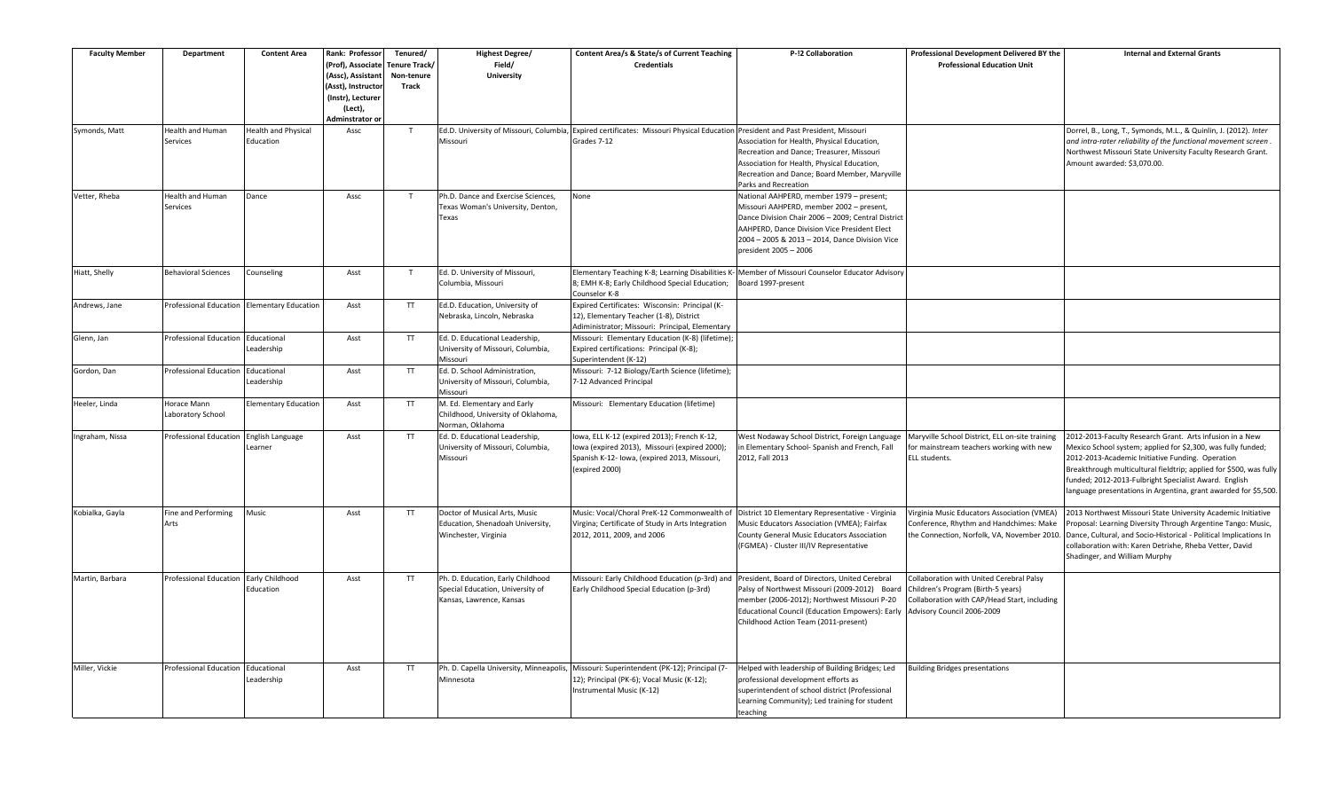| <b>Faculty Member</b> | Department                             | <b>Content Area</b>                         | Rank: Professor<br>(Prof), Associate<br>(Assc), Assistant<br>(Asst), Instructor<br>(Instr), Lecturer<br>(Lect),<br>Adminstrator or | Tenured/<br>Tenure Track/<br>Non-tenure<br>Track | Highest Degree/<br>Field/<br>University                                                           | Content Area/s & State/s of Current Teaching<br><b>Credentials</b>                                                                                             | P-!2 Collaboration                                                                                                                                                                                                                                                    | Professional Development Delivered BY the<br><b>Professional Education Unit</b>                                                                              | <b>Internal and External Grants</b>                                                                                                                                                                                                                                                                                                                                            |
|-----------------------|----------------------------------------|---------------------------------------------|------------------------------------------------------------------------------------------------------------------------------------|--------------------------------------------------|---------------------------------------------------------------------------------------------------|----------------------------------------------------------------------------------------------------------------------------------------------------------------|-----------------------------------------------------------------------------------------------------------------------------------------------------------------------------------------------------------------------------------------------------------------------|--------------------------------------------------------------------------------------------------------------------------------------------------------------|--------------------------------------------------------------------------------------------------------------------------------------------------------------------------------------------------------------------------------------------------------------------------------------------------------------------------------------------------------------------------------|
| Symonds, Matt         | <b>Health and Human</b><br>Services    | <b>Health and Physical</b><br>Education     | Assc                                                                                                                               | T                                                | Missouri                                                                                          | Ed.D. University of Missouri, Columbia, Expired certificates: Missouri Physical Education President and Past President, Missouri<br>Grades 7-12                | Association for Health, Physical Education,<br>Recreation and Dance; Treasurer, Missouri<br>Association for Health, Physical Education,<br>Recreation and Dance; Board Member, Maryville<br>Parks and Recreation                                                      |                                                                                                                                                              | Dorrel, B., Long, T., Symonds, M.L., & Quinlin, J. (2012). Inter<br>and intra-rater reliability of the functional movement screen.<br>Northwest Missouri State University Faculty Research Grant.<br>Amount awarded: \$3,070.00.                                                                                                                                               |
| Vetter, Rheba         | <b>Health and Human</b><br>Services    | Dance                                       | Assc                                                                                                                               | T                                                | Ph.D. Dance and Exercise Sciences.<br>Texas Woman's University, Denton,<br>Texas                  | None                                                                                                                                                           | National AAHPERD, member 1979 - present;<br>Missouri AAHPERD, member 2002 - present,<br>Dance Division Chair 2006 - 2009; Central District<br>AAHPERD, Dance Division Vice President Elect<br>2004 - 2005 & 2013 - 2014, Dance Division Vice<br>president 2005 - 2006 |                                                                                                                                                              |                                                                                                                                                                                                                                                                                                                                                                                |
| Hiatt, Shelly         | <b>Behavioral Sciences</b>             | Counseling                                  | Asst                                                                                                                               | T                                                | Ed. D. University of Missouri,<br>Columbia, Missouri                                              | Elementary Teaching K-8; Learning Disabilities K-<br>8; EMH K-8; Early Childhood Special Education;<br>Counselor K-8                                           | Member of Missouri Counselor Educator Advisory<br>Board 1997-present                                                                                                                                                                                                  |                                                                                                                                                              |                                                                                                                                                                                                                                                                                                                                                                                |
| Andrews, Jane         |                                        | Professional Education Elementary Education | Asst                                                                                                                               | <b>TT</b>                                        | Ed.D. Education, University of<br>Nebraska, Lincoln, Nebraska                                     | Expired Certificates: Wisconsin: Principal (K-<br>12), Elementary Teacher (1-8), District<br>Adiministrator; Missouri: Principal, Elementary                   |                                                                                                                                                                                                                                                                       |                                                                                                                                                              |                                                                                                                                                                                                                                                                                                                                                                                |
| Glenn, Jan            | Professional Education                 | Educational<br>Leadership                   | Asst                                                                                                                               | <b>TT</b>                                        | Ed. D. Educational Leadership,<br>University of Missouri, Columbia,<br>Missouri                   | Missouri: Elementary Education (K-8) (lifetime);<br>Expired certifications: Principal (K-8);<br>Superintendent (K-12)                                          |                                                                                                                                                                                                                                                                       |                                                                                                                                                              |                                                                                                                                                                                                                                                                                                                                                                                |
| Gordon, Dan           | Professional Education Educational     | Leadership                                  | Asst                                                                                                                               | TT.                                              | Ed. D. School Administration,<br>University of Missouri, Columbia,<br>Missouri                    | Missouri: 7-12 Biology/Earth Science (lifetime);<br>7-12 Advanced Principal                                                                                    |                                                                                                                                                                                                                                                                       |                                                                                                                                                              |                                                                                                                                                                                                                                                                                                                                                                                |
| Heeler, Linda         | Horace Mann<br>Laboratory School       | <b>Elementary Education</b>                 | Asst                                                                                                                               | <b>TT</b>                                        | M. Ed. Elementary and Early<br>Childhood, University of Oklahoma,<br>Norman, Oklahoma             | Missouri: Elementary Education (lifetime)                                                                                                                      |                                                                                                                                                                                                                                                                       |                                                                                                                                                              |                                                                                                                                                                                                                                                                                                                                                                                |
| Ingraham, Nissa       | Professional Education                 | Inglish Language<br>Learner                 | Asst                                                                                                                               | <b>TT</b>                                        | Ed. D. Educational Leadership,<br>University of Missouri, Columbia,<br>Missouri                   | lowa, ELL K-12 (expired 2013); French K-12,<br>Iowa (expired 2013), Missouri (expired 2000);<br>Spanish K-12- Iowa, (expired 2013, Missouri,<br>(expired 2000) | West Nodaway School District, Foreign Language<br>in Elementary School- Spanish and French, Fall<br>2012, Fall 2013                                                                                                                                                   | Maryville School District, ELL on-site training<br>for mainstream teachers working with new<br>ELL students.                                                 | 2012-2013-Faculty Research Grant. Arts infusion in a New<br>Mexico School system; applied for \$2,300, was fully funded;<br>2012-2013-Academic Initiative Funding. Operation<br>Breakthrough multicultural fieldtrip; applied for \$500, was fully<br>funded; 2012-2013-Fulbright Specialist Award. English<br>language presentations in Argentina, grant awarded for \$5,500. |
| Kobialka, Gayla       | Fine and Performing<br>Arts            | Music                                       | Asst                                                                                                                               | <b>TT</b>                                        | Doctor of Musical Arts, Music<br>Education, Shenadoah University,<br>Winchester, Virginia         | Music: Vocal/Choral PreK-12 Commonwealth of<br>Virgina; Certificate of Study in Arts Integration<br>2012, 2011, 2009, and 2006                                 | District 10 Elementary Representative - Virginia<br>Music Educators Association (VMEA); Fairfax<br>County General Music Educators Association<br>(FGMEA) - Cluster III/IV Representative                                                                              | Virginia Music Educators Association (VMEA)<br>Conference, Rhythm and Handchimes: Make<br>the Connection, Norfolk, VA, November 2010.                        | 2013 Northwest Missouri State University Academic Initiative<br>Proposal: Learning Diversity Through Argentine Tango: Music,<br>Dance, Cultural, and Socio-Historical - Political Implications In<br>collaboration with: Karen Detrixhe, Rheba Vetter, David<br>Shadinger, and William Murphy                                                                                  |
| Martin, Barbara       | Professional Education Early Childhood | Education                                   | Asst                                                                                                                               | <b>TT</b>                                        | Ph. D. Education, Early Childhood<br>Special Education, University of<br>Kansas, Lawrence, Kansas | Missouri: Early Childhood Education (p-3rd) and<br>Early Childhood Special Education (p-3rd)                                                                   | President, Board of Directors, United Cerebral<br>Palsy of Northwest Missouri (2009-2012) Board<br>member (2006-2012); Northwest Missouri P-20<br>Educational Council (Education Empowers): Early<br>Childhood Action Team (2011-present)                             | Collaboration with United Cerebral Palsy<br>Children's Program (Birth-5 years)<br>Collaboration with CAP/Head Start, including<br>Advisory Council 2006-2009 |                                                                                                                                                                                                                                                                                                                                                                                |
| Miller, Vickie        | Professional Education Educational     | Leadership                                  | Asst                                                                                                                               | <b>TT</b>                                        | Ph. D. Capella University, Minneapolis,<br>Minnesota                                              | Missouri: Superintendent (PK-12); Principal (7-<br>12); Principal (PK-6); Vocal Music (K-12);<br>Instrumental Music (K-12)                                     | Helped with leadership of Building Bridges; Led<br>professional development efforts as<br>superintendent of school district (Professional<br>Learning Community); Led training for student<br>teaching                                                                | <b>Building Bridges presentations</b>                                                                                                                        |                                                                                                                                                                                                                                                                                                                                                                                |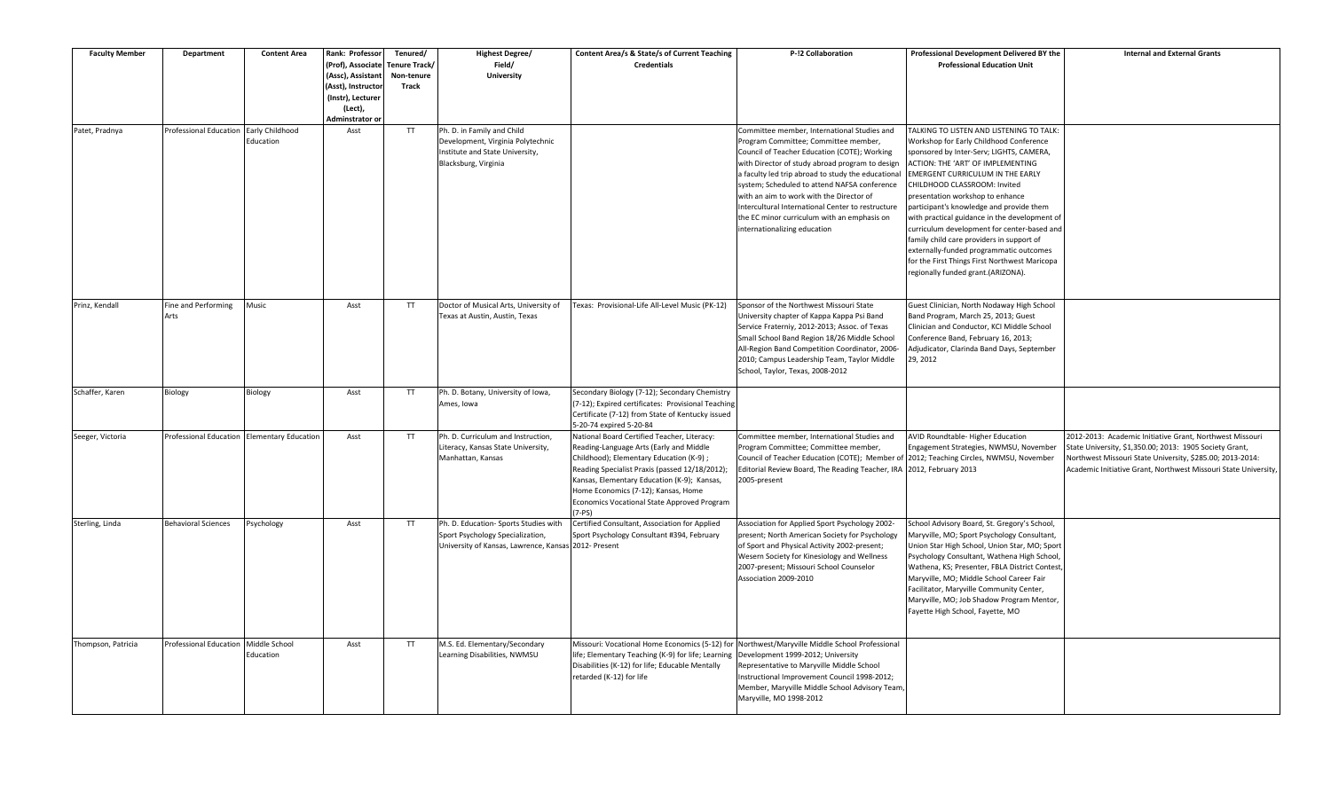| <b>Faculty Member</b> | <b>Department</b>                           | <b>Content Area</b>        | Rank: Professor<br>(Prof), Associate<br>(Assc), Assistant<br>(Asst), Instructor<br>(Instr), Lecturer<br>(Lect), | Tenured/<br><b>Tenure Track/</b><br>Non-tenure<br>Track | <b>Highest Degree/</b><br>Field/<br>University                                                                             | Content Area/s & State/s of Current Teaching<br><b>Credentials</b>                                                                                                                                                                                                                                                                   | P-!2 Collaboration                                                                                                                                                                                                                                                                                                                                                                                                                                                           | Professional Development Delivered BY the<br><b>Professional Education Unit</b>                                                                                                                                                                                                                                                                                                                                                                                                                                                                                                                         | <b>Internal and External Grants</b>                                                                                                                                                                                                                 |
|-----------------------|---------------------------------------------|----------------------------|-----------------------------------------------------------------------------------------------------------------|---------------------------------------------------------|----------------------------------------------------------------------------------------------------------------------------|--------------------------------------------------------------------------------------------------------------------------------------------------------------------------------------------------------------------------------------------------------------------------------------------------------------------------------------|------------------------------------------------------------------------------------------------------------------------------------------------------------------------------------------------------------------------------------------------------------------------------------------------------------------------------------------------------------------------------------------------------------------------------------------------------------------------------|---------------------------------------------------------------------------------------------------------------------------------------------------------------------------------------------------------------------------------------------------------------------------------------------------------------------------------------------------------------------------------------------------------------------------------------------------------------------------------------------------------------------------------------------------------------------------------------------------------|-----------------------------------------------------------------------------------------------------------------------------------------------------------------------------------------------------------------------------------------------------|
| Patet, Pradnya        | Professional Education Early Childhood      | Education                  | Adminstrator or<br>Asst                                                                                         | TT.                                                     | Ph. D. in Family and Child<br>Development, Virginia Polytechnic<br>Institute and State University,<br>Blacksburg, Virginia |                                                                                                                                                                                                                                                                                                                                      | Committee member, International Studies and<br>Program Committee; Committee member,<br>Council of Teacher Education (COTE); Working<br>with Director of study abroad program to design<br>a faculty led trip abroad to study the educational<br>system; Scheduled to attend NAFSA conference<br>with an aim to work with the Director of<br>Intercultural International Center to restructure<br>the EC minor curriculum with an emphasis on<br>internationalizing education | TALKING TO LISTEN AND LISTENING TO TALK:<br>Workshop for Early Childhood Conference<br>sponsored by Inter-Serv; LIGHTS, CAMERA,<br>ACTION: THE 'ART' OF IMPLEMENTING<br>EMERGENT CURRICULUM IN THE EARLY<br>CHILDHOOD CLASSROOM: Invited<br>presentation workshop to enhance<br>participant's knowledge and provide them<br>with practical guidance in the development of<br>curriculum development for center-based and<br>family child care providers in support of<br>externally-funded programmatic outcomes<br>for the First Things First Northwest Maricopa<br>regionally funded grant.(ARIZONA). |                                                                                                                                                                                                                                                     |
| Prinz, Kendall        | Fine and Performing<br>Arts                 | Music                      | Asst                                                                                                            | <b>TT</b>                                               | Doctor of Musical Arts, University of<br>Texas at Austin, Austin, Texas                                                    | Fexas: Provisional-Life All-Level Music (PK-12)                                                                                                                                                                                                                                                                                      | Sponsor of the Northwest Missouri State<br>University chapter of Kappa Kappa Psi Band<br>Service Fraterniy, 2012-2013; Assoc. of Texas<br>Small School Band Region 18/26 Middle School<br>All-Region Band Competition Coordinator, 2006-<br>2010; Campus Leadership Team, Taylor Middle<br>School, Taylor, Texas, 2008-2012                                                                                                                                                  | Guest Clinician, North Nodaway High School<br>Band Program, March 25, 2013; Guest<br>Clinician and Conductor, KCI Middle School<br>Conference Band, February 16, 2013;<br>Adjudicator, Clarinda Band Days, September<br>29, 2012                                                                                                                                                                                                                                                                                                                                                                        |                                                                                                                                                                                                                                                     |
| Schaffer, Karen       | Biology                                     | Biology                    | Asst                                                                                                            | TT                                                      | Ph. D. Botany, University of Iowa,<br>Ames, Iowa                                                                           | Secondary Biology (7-12); Secondary Chemistry<br>(7-12); Expired certificates: Provisional Teaching<br>Certificate (7-12) from State of Kentucky issued<br>5-20-74 expired 5-20-84                                                                                                                                                   |                                                                                                                                                                                                                                                                                                                                                                                                                                                                              |                                                                                                                                                                                                                                                                                                                                                                                                                                                                                                                                                                                                         |                                                                                                                                                                                                                                                     |
| Seeger, Victoria      | Professional Education Elementary Education |                            | Asst                                                                                                            | TT                                                      | Ph. D. Curriculum and Instruction,<br>Literacy, Kansas State University,<br>Manhattan, Kansas                              | National Board Certified Teacher, Literacy:<br>Reading-Language Arts (Early and Middle<br>Childhood); Elementary Education (K-9);<br>Reading Specialist Praxis (passed 12/18/2012);<br>Kansas, Elementary Education (K-9); Kansas,<br>Home Economics (7-12); Kansas, Home<br>Economics Vocational State Approved Program<br>$(7-PS)$ | Committee member, International Studies and<br>Program Committee; Committee member,<br>Council of Teacher Education (COTE); Member of 2012; Teaching Circles, NWMSU, November<br>Editorial Review Board, The Reading Teacher, IRA 2012, February 2013<br>2005-present                                                                                                                                                                                                        | AVID Roundtable-Higher Education<br>Engagement Strategies, NWMSU, November                                                                                                                                                                                                                                                                                                                                                                                                                                                                                                                              | 2012-2013: Academic Initiative Grant, Northwest Missouri<br>State University, \$1,350.00; 2013: 1905 Society Grant,<br>Northwest Missouri State University, \$285.00; 2013-2014:<br>Academic Initiative Grant, Northwest Missouri State University, |
| Sterling, Linda       | <b>Behavioral Sciences</b>                  | Psychology                 | Asst                                                                                                            | TT.                                                     | Ph. D. Education- Sports Studies with<br>Sport Psychology Specialization,<br>University of Kansas, Lawrence, Kansas        | Certified Consultant, Association for Applied<br>Sport Psychology Consultant #394, February<br>2012- Present                                                                                                                                                                                                                         | Association for Applied Sport Psychology 2002-<br>present; North American Society for Psychology<br>of Sport and Physical Activity 2002-present;<br>Wesern Society for Kinesiology and Wellness<br>2007-present; Missouri School Counselor<br>Association 2009-2010                                                                                                                                                                                                          | School Advisory Board, St. Gregory's School,<br>Maryville, MO; Sport Psychology Consultant,<br>Union Star High School, Union Star, MO; Sport<br>Psychology Consultant, Wathena High School,<br>Wathena, KS; Presenter, FBLA District Contest,<br>Maryville, MO; Middle School Career Fair<br>Facilitator, Maryville Community Center,<br>Maryville, MO; Job Shadow Program Mentor,<br>Fayette High School, Fayette, MO                                                                                                                                                                                  |                                                                                                                                                                                                                                                     |
| Thompson, Patricia    | Professional Education                      | Middle School<br>Education | Asst                                                                                                            | TT.                                                     | M.S. Ed. Elementary/Secondary<br>Learning Disabilities, NWMSU                                                              | life; Elementary Teaching (K-9) for life; Learning<br>Disabilities (K-12) for life; Educable Mentally<br>retarded (K-12) for life                                                                                                                                                                                                    | Missouri: Vocational Home Economics (5-12) for Northwest/Maryville Middle School Professional<br>Development 1999-2012; University<br>Representative to Maryville Middle School<br>Instructional Improvement Council 1998-2012;<br>Member, Maryville Middle School Advisory Team<br>Maryville, MO 1998-2012                                                                                                                                                                  |                                                                                                                                                                                                                                                                                                                                                                                                                                                                                                                                                                                                         |                                                                                                                                                                                                                                                     |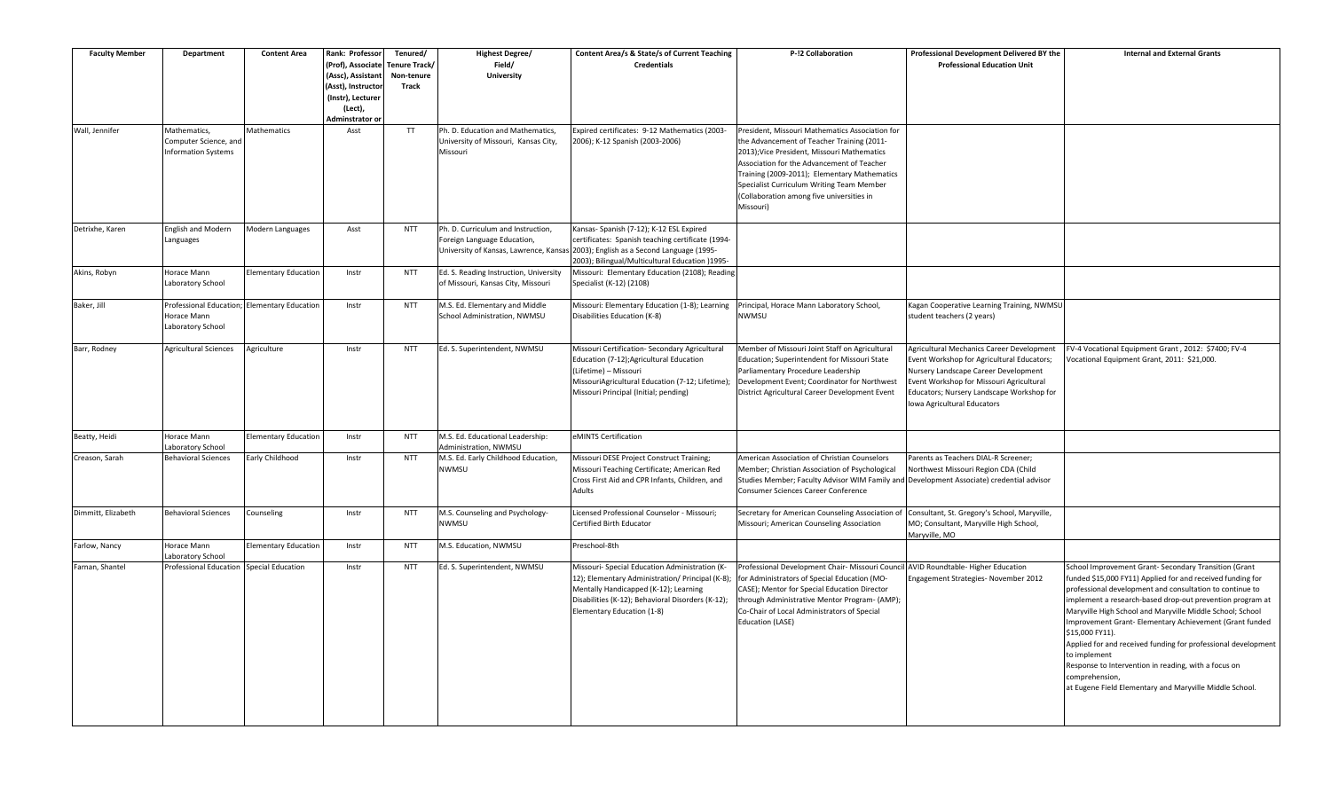| <b>Faculty Member</b> | <b>Department</b>                | <b>Content Area</b>         | Rank: Professor                        | Tenured/                    | Highest Degree/                                     | Content Area/s & State/s of Current Teaching                                                      | P-!2 Collaboration                                                                                                                         | Professional Development Delivered BY the                                              | <b>Internal and External Grants</b>                                                                                   |
|-----------------------|----------------------------------|-----------------------------|----------------------------------------|-----------------------------|-----------------------------------------------------|---------------------------------------------------------------------------------------------------|--------------------------------------------------------------------------------------------------------------------------------------------|----------------------------------------------------------------------------------------|-----------------------------------------------------------------------------------------------------------------------|
|                       |                                  |                             | (Prof), Associate<br>(Assc), Assistant | Tenure Track/<br>Non-tenure | Field/<br><b>University</b>                         | <b>Credentials</b>                                                                                |                                                                                                                                            | <b>Professional Education Unit</b>                                                     |                                                                                                                       |
|                       |                                  |                             | (Asst), Instructor                     | Track                       |                                                     |                                                                                                   |                                                                                                                                            |                                                                                        |                                                                                                                       |
|                       |                                  |                             | (Instr), Lecturer                      |                             |                                                     |                                                                                                   |                                                                                                                                            |                                                                                        |                                                                                                                       |
|                       |                                  |                             | (Lect),<br>Adminstrator or             |                             |                                                     |                                                                                                   |                                                                                                                                            |                                                                                        |                                                                                                                       |
| Wall, Jennifer        | Mathematics,                     | Mathematics                 | Asst                                   | <b>TT</b>                   | Ph. D. Education and Mathematics,                   | Expired certificates: 9-12 Mathematics (2003-                                                     | President, Missouri Mathematics Association for                                                                                            |                                                                                        |                                                                                                                       |
|                       | Computer Science, and            |                             |                                        |                             | University of Missouri, Kansas City,                | 2006); K-12 Spanish (2003-2006)                                                                   | the Advancement of Teacher Training (2011-                                                                                                 |                                                                                        |                                                                                                                       |
|                       | <b>Information Systems</b>       |                             |                                        |                             | Missouri                                            |                                                                                                   | 2013); Vice President, Missouri Mathematics                                                                                                |                                                                                        |                                                                                                                       |
|                       |                                  |                             |                                        |                             |                                                     |                                                                                                   | Association for the Advancement of Teacher<br>Training (2009-2011); Elementary Mathematics                                                 |                                                                                        |                                                                                                                       |
|                       |                                  |                             |                                        |                             |                                                     |                                                                                                   | Specialist Curriculum Writing Team Member                                                                                                  |                                                                                        |                                                                                                                       |
|                       |                                  |                             |                                        |                             |                                                     |                                                                                                   | (Collaboration among five universities in                                                                                                  |                                                                                        |                                                                                                                       |
|                       |                                  |                             |                                        |                             |                                                     |                                                                                                   | Missouri)                                                                                                                                  |                                                                                        |                                                                                                                       |
| Detrixhe, Karen       | <b>English and Modern</b>        | Modern Languages            | Asst                                   | <b>NTT</b>                  | Ph. D. Curriculum and Instruction,                  | Kansas- Spanish (7-12); K-12 ESL Expired                                                          |                                                                                                                                            |                                                                                        |                                                                                                                       |
|                       | Languages                        |                             |                                        |                             | Foreign Language Education,                         | certificates: Spanish teaching certificate (1994-                                                 |                                                                                                                                            |                                                                                        |                                                                                                                       |
|                       |                                  |                             |                                        |                             | University of Kansas, Lawrence, Kansas              | 2003); English as a Second Language (1995-                                                        |                                                                                                                                            |                                                                                        |                                                                                                                       |
| Akins, Robyn          | Horace Mann                      | Elementary Education        | Instr                                  | <b>NTT</b>                  | Ed. S. Reading Instruction, University              | 2003); Bilingual/Multicultural Education )1995-<br>Missouri: Elementary Education (2108); Reading |                                                                                                                                            |                                                                                        |                                                                                                                       |
|                       | Laboratory School                |                             |                                        |                             | of Missouri, Kansas City, Missouri                  | Specialist (K-12) (2108)                                                                          |                                                                                                                                            |                                                                                        |                                                                                                                       |
| Baker, Jill           | Professional Education           | <b>Elementary Education</b> | Instr                                  | <b>NTT</b>                  | M.S. Ed. Elementary and Middle                      | Missouri: Elementary Education (1-8); Learning                                                    | Principal, Horace Mann Laboratory School,                                                                                                  | Kagan Cooperative Learning Training, NWMSU                                             |                                                                                                                       |
|                       | Horace Mann                      |                             |                                        |                             | School Administration, NWMSU                        | Disabilities Education (K-8)                                                                      | NWMSU                                                                                                                                      | student teachers (2 years)                                                             |                                                                                                                       |
|                       | Laboratory School                |                             |                                        |                             |                                                     |                                                                                                   |                                                                                                                                            |                                                                                        |                                                                                                                       |
| Barr, Rodney          | <b>Agricultural Sciences</b>     | Agriculture                 | Instr                                  | <b>NTT</b>                  | Ed. S. Superintendent, NWMSU                        | Missouri Certification- Secondary Agricultural                                                    | Member of Missouri Joint Staff on Agricultural                                                                                             | Agricultural Mechanics Career Development                                              | FV-4 Vocational Equipment Grant, 2012: \$7400; FV-4                                                                   |
|                       |                                  |                             |                                        |                             |                                                     | Education (7-12);Agricultural Education                                                           | Education; Superintendent for Missouri State                                                                                               | Event Workshop for Agricultural Educators;                                             | Vocational Equipment Grant, 2011: \$21,000.                                                                           |
|                       |                                  |                             |                                        |                             |                                                     | (Lifetime) - Missouri                                                                             | Parliamentary Procedure Leadership<br>Development Event; Coordinator for Northwest                                                         | Nursery Landscape Career Development<br>Event Workshop for Missouri Agricultural       |                                                                                                                       |
|                       |                                  |                             |                                        |                             |                                                     | MissouriAgricultural Education (7-12; Lifetime);<br>Missouri Principal (Initial; pending)         | District Agricultural Career Development Event                                                                                             | Educators; Nursery Landscape Workshop for                                              |                                                                                                                       |
|                       |                                  |                             |                                        |                             |                                                     |                                                                                                   |                                                                                                                                            | Iowa Agricultural Educators                                                            |                                                                                                                       |
|                       |                                  |                             |                                        |                             |                                                     |                                                                                                   |                                                                                                                                            |                                                                                        |                                                                                                                       |
| Beatty, Heidi         | Horace Mann                      | Elementary Education        | Instr                                  | <b>NTT</b>                  | M.S. Ed. Educational Leadership:                    | eMINTS Certification                                                                              |                                                                                                                                            |                                                                                        |                                                                                                                       |
|                       | Laboratory School                |                             |                                        |                             | Administration, NWMSU                               |                                                                                                   |                                                                                                                                            |                                                                                        |                                                                                                                       |
| Creason, Sarah        | <b>Behavioral Sciences</b>       | Early Childhood             | Instr                                  | <b>NTT</b>                  | M.S. Ed. Early Childhood Education,<br><b>NWMSU</b> | Missouri DESE Project Construct Training;<br>Missouri Teaching Certificate; American Red          | American Association of Christian Counselors                                                                                               | Parents as Teachers DIAL-R Screener;                                                   |                                                                                                                       |
|                       |                                  |                             |                                        |                             |                                                     | Cross First Aid and CPR Infants, Children, and                                                    | Member; Christian Association of Psychological<br>Studies Member; Faculty Advisor WIM Family and Development Associate) credential advisor | Northwest Missouri Region CDA (Child                                                   |                                                                                                                       |
|                       |                                  |                             |                                        |                             |                                                     | Adults                                                                                            | Consumer Sciences Career Conference                                                                                                        |                                                                                        |                                                                                                                       |
| Dimmitt, Elizabeth    |                                  |                             |                                        |                             |                                                     |                                                                                                   |                                                                                                                                            |                                                                                        |                                                                                                                       |
|                       | <b>Behavioral Sciences</b>       | Counseling                  | Instr                                  | <b>NTT</b>                  | M.S. Counseling and Psychology-<br><b>NWMSU</b>     | Licensed Professional Counselor - Missouri;<br>Certified Birth Educator                           | Secretary for American Counseling Association o<br>Missouri; American Counseling Association                                               | Consultant, St. Gregory's School, Maryville,<br>MO; Consultant, Maryville High School, |                                                                                                                       |
|                       |                                  |                             |                                        |                             |                                                     |                                                                                                   |                                                                                                                                            | Maryville, MO                                                                          |                                                                                                                       |
| Farlow, Nancy         | Horace Mann<br>Laboratory School | <b>Elementary Education</b> | Instr                                  | <b>NTT</b>                  | M.S. Education, NWMSU                               | Preschool-8th                                                                                     |                                                                                                                                            |                                                                                        |                                                                                                                       |
| Farnan, Shantel       | Professional Education           | <b>Special Education</b>    | Instr                                  | <b>NTT</b>                  | Ed. S. Superintendent, NWMSU                        | Missouri- Special Education Administration (K-                                                    | Professional Development Chair- Missouri Council AVID Roundtable- Higher Education                                                         |                                                                                        | School Improvement Grant- Secondary Transition (Grant                                                                 |
|                       |                                  |                             |                                        |                             |                                                     | 12); Elementary Administration/ Principal (K-8);                                                  | for Administrators of Special Education (MO-                                                                                               | Engagement Strategies- November 2012                                                   | funded \$15,000 FY11) Applied for and received funding for                                                            |
|                       |                                  |                             |                                        |                             |                                                     | Mentally Handicapped (K-12); Learning<br>Disabilities (K-12); Behavioral Disorders (K-12);        | CASE); Mentor for Special Education Director<br>through Administrative Mentor Program- (AMP);                                              |                                                                                        | professional development and consultation to continue to<br>implement a research-based drop-out prevention program at |
|                       |                                  |                             |                                        |                             |                                                     | Elementary Education (1-8)                                                                        | Co-Chair of Local Administrators of Special                                                                                                |                                                                                        | Maryville High School and Maryville Middle School; School                                                             |
|                       |                                  |                             |                                        |                             |                                                     |                                                                                                   | <b>Education (LASE)</b>                                                                                                                    |                                                                                        | Improvement Grant- Elementary Achievement (Grant funded                                                               |
|                       |                                  |                             |                                        |                             |                                                     |                                                                                                   |                                                                                                                                            |                                                                                        | \$15,000 FY11).                                                                                                       |
|                       |                                  |                             |                                        |                             |                                                     |                                                                                                   |                                                                                                                                            |                                                                                        | Applied for and received funding for professional development                                                         |
|                       |                                  |                             |                                        |                             |                                                     |                                                                                                   |                                                                                                                                            |                                                                                        | to implement<br>Response to Intervention in reading, with a focus on                                                  |
|                       |                                  |                             |                                        |                             |                                                     |                                                                                                   |                                                                                                                                            |                                                                                        | comprehension,                                                                                                        |
|                       |                                  |                             |                                        |                             |                                                     |                                                                                                   |                                                                                                                                            |                                                                                        | at Eugene Field Elementary and Maryville Middle School.                                                               |
|                       |                                  |                             |                                        |                             |                                                     |                                                                                                   |                                                                                                                                            |                                                                                        |                                                                                                                       |
|                       |                                  |                             |                                        |                             |                                                     |                                                                                                   |                                                                                                                                            |                                                                                        |                                                                                                                       |
|                       |                                  |                             |                                        |                             |                                                     |                                                                                                   |                                                                                                                                            |                                                                                        |                                                                                                                       |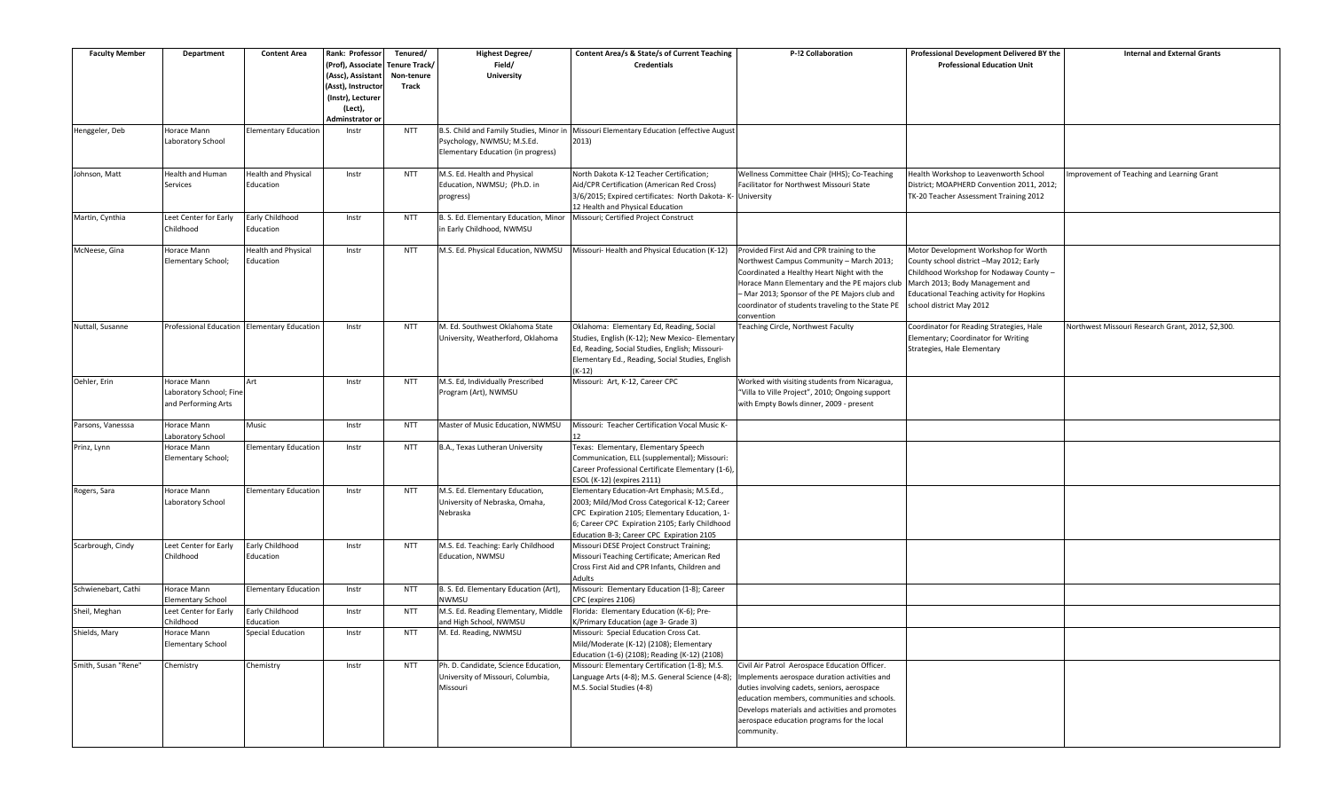| <b>Faculty Member</b> | <b>Department</b>                           | <b>Content Area</b>         | Rank: Professor    | Tenured/      | <b>Highest Degree/</b>                  | Content Area/s & State/s of Current Teaching                | P-!2 Collaboration                                | Professional Development Delivered BY the        | <b>Internal and External Grants</b>               |
|-----------------------|---------------------------------------------|-----------------------------|--------------------|---------------|-----------------------------------------|-------------------------------------------------------------|---------------------------------------------------|--------------------------------------------------|---------------------------------------------------|
|                       |                                             |                             | (Prof), Associate  | Tenure Track/ | Field/                                  | <b>Credentials</b>                                          |                                                   | <b>Professional Education Unit</b>               |                                                   |
|                       |                                             |                             | (Assc), Assistant  | Non-tenure    | <b>University</b>                       |                                                             |                                                   |                                                  |                                                   |
|                       |                                             |                             | (Asst), Instructor | Track         |                                         |                                                             |                                                   |                                                  |                                                   |
|                       |                                             |                             | (Instr), Lecturer  |               |                                         |                                                             |                                                   |                                                  |                                                   |
|                       |                                             |                             | (Lect),            |               |                                         |                                                             |                                                   |                                                  |                                                   |
|                       |                                             |                             | Adminstrator or    |               |                                         |                                                             |                                                   |                                                  |                                                   |
| Henggeler, Deb        | Horace Mann                                 | <b>Elementary Education</b> | Instr              | <b>NTT</b>    | B.S. Child and Family Studies, Minor in | Missouri Elementary Education (effective August             |                                                   |                                                  |                                                   |
|                       |                                             |                             |                    |               |                                         |                                                             |                                                   |                                                  |                                                   |
|                       | Laboratory School                           |                             |                    |               | Psychology, NWMSU; M.S.Ed.              | 2013)                                                       |                                                   |                                                  |                                                   |
|                       |                                             |                             |                    |               | Elementary Education (in progress)      |                                                             |                                                   |                                                  |                                                   |
|                       |                                             |                             |                    |               |                                         |                                                             |                                                   |                                                  |                                                   |
| Johnson, Matt         | Health and Human                            | Health and Physical         | Instr              | <b>NTT</b>    | M.S. Ed. Health and Physical            | North Dakota K-12 Teacher Certification;                    | Wellness Committee Chair (HHS); Co-Teaching       | Health Workshop to Leavenworth School            | Improvement of Teaching and Learning Grant        |
|                       | Services                                    | Education                   |                    |               | Education, NWMSU; (Ph.D. in             | Aid/CPR Certification (American Red Cross)                  | Facilitator for Northwest Missouri State          | District; MOAPHERD Convention 2011, 2012;        |                                                   |
|                       |                                             |                             |                    |               | progress)                               | 3/6/2015; Expired certificates: North Dakota- K- University |                                                   | TK-20 Teacher Assessment Training 2012           |                                                   |
|                       |                                             |                             |                    |               |                                         | 12 Health and Physical Education                            |                                                   |                                                  |                                                   |
| Martin, Cynthia       | Leet Center for Early                       | arly Childhood              | Instr              | <b>NTT</b>    | B. S. Ed. Elementary Education, Minor   | Missouri; Certified Project Construct                       |                                                   |                                                  |                                                   |
|                       | Childhood                                   | Education                   |                    |               | in Early Childhood, NWMSU               |                                                             |                                                   |                                                  |                                                   |
|                       |                                             |                             |                    |               |                                         |                                                             |                                                   |                                                  |                                                   |
| McNeese, Gina         | Horace Mann                                 | Health and Physical         | Instr              | <b>NTT</b>    | M.S. Ed. Physical Education, NWMSU      | Missouri- Health and Physical Education (K-12)              | Provided First Aid and CPR training to the        | Motor Development Workshop for Worth             |                                                   |
|                       | Elementary School;                          | Education                   |                    |               |                                         |                                                             | Northwest Campus Community - March 2013;          | County school district -May 2012; Early          |                                                   |
|                       |                                             |                             |                    |               |                                         |                                                             | Coordinated a Healthy Heart Night with the        | Childhood Workshop for Nodaway County -          |                                                   |
|                       |                                             |                             |                    |               |                                         |                                                             | Horace Mann Elementary and the PE majors club     | March 2013; Body Management and                  |                                                   |
|                       |                                             |                             |                    |               |                                         |                                                             | - Mar 2013; Sponsor of the PE Majors club and     | <b>Educational Teaching activity for Hopkins</b> |                                                   |
|                       |                                             |                             |                    |               |                                         |                                                             | coordinator of students traveling to the State PE | school district May 2012                         |                                                   |
|                       |                                             |                             |                    |               |                                         |                                                             | convention                                        |                                                  |                                                   |
| Nuttall, Susanne      | Professional Education Elementary Education |                             | Instr              | <b>NTT</b>    | M. Ed. Southwest Oklahoma State         | Oklahoma: Elementary Ed, Reading, Social                    | Teaching Circle, Northwest Faculty                | Coordinator for Reading Strategies, Hale         | Northwest Missouri Research Grant, 2012, \$2,300. |
|                       |                                             |                             |                    |               |                                         |                                                             |                                                   |                                                  |                                                   |
|                       |                                             |                             |                    |               | University, Weatherford, Oklahoma       | Studies, English (K-12); New Mexico- Elementary             |                                                   | Elementary; Coordinator for Writing              |                                                   |
|                       |                                             |                             |                    |               |                                         | Ed, Reading, Social Studies, English; Missouri-             |                                                   | Strategies, Hale Elementary                      |                                                   |
|                       |                                             |                             |                    |               |                                         | Elementary Ed., Reading, Social Studies, English            |                                                   |                                                  |                                                   |
|                       |                                             |                             |                    |               |                                         | $(K-12)$                                                    |                                                   |                                                  |                                                   |
| Oehler, Erin          | Horace Mann                                 | Art                         | Instr              | <b>NTT</b>    | M.S. Ed, Individually Prescribed        | Missouri: Art, K-12, Career CPC                             | Worked with visiting students from Nicaragua,     |                                                  |                                                   |
|                       | Laboratory School; Fine                     |                             |                    |               | Program (Art), NWMSU                    |                                                             | "Villa to Ville Project", 2010; Ongoing support   |                                                  |                                                   |
|                       | and Performing Arts                         |                             |                    |               |                                         |                                                             | with Empty Bowls dinner, 2009 - present           |                                                  |                                                   |
|                       |                                             |                             |                    |               |                                         |                                                             |                                                   |                                                  |                                                   |
| Parsons, Vanesssa     | Horace Mann                                 | Music                       | Instr              | <b>NTT</b>    | Master of Music Education, NWMSU        | Missouri: Teacher Certification Vocal Music K-              |                                                   |                                                  |                                                   |
|                       | Laboratory School                           |                             |                    |               |                                         |                                                             |                                                   |                                                  |                                                   |
| Prinz, Lynn           | Horace Mann                                 | <b>Elementary Education</b> | Instr              | <b>NTT</b>    | B.A., Texas Lutheran University         | Texas: Elementary, Elementary Speech                        |                                                   |                                                  |                                                   |
|                       | Elementary School;                          |                             |                    |               |                                         | Communication, ELL (supplemental); Missouri:                |                                                   |                                                  |                                                   |
|                       |                                             |                             |                    |               |                                         | Career Professional Certificate Elementary (1-6),           |                                                   |                                                  |                                                   |
|                       |                                             |                             |                    |               |                                         | ESOL (K-12) (expires 2111)                                  |                                                   |                                                  |                                                   |
| Rogers, Sara          | Horace Mann                                 | Elementary Education        | Instr              | <b>NTT</b>    | M.S. Ed. Elementary Education,          | Elementary Education-Art Emphasis; M.S.Ed.,                 |                                                   |                                                  |                                                   |
|                       | Laboratory School                           |                             |                    |               | University of Nebraska, Omaha,          | 2003; Mild/Mod Cross Categorical K-12; Career               |                                                   |                                                  |                                                   |
|                       |                                             |                             |                    |               | Nebraska                                | CPC Expiration 2105; Elementary Education, 1-               |                                                   |                                                  |                                                   |
|                       |                                             |                             |                    |               |                                         | 6; Career CPC Expiration 2105; Early Childhood              |                                                   |                                                  |                                                   |
|                       |                                             |                             |                    |               |                                         | Education B-3; Career CPC Expiration 2105                   |                                                   |                                                  |                                                   |
| Scarbrough, Cindy     | Leet Center for Early                       | Early Childhood             | Instr              | <b>NTT</b>    | M.S. Ed. Teaching: Early Childhood      | Missouri DESE Project Construct Training;                   |                                                   |                                                  |                                                   |
|                       | Childhood                                   | Education                   |                    |               | Education, NWMSU                        | Missouri Teaching Certificate; American Red                 |                                                   |                                                  |                                                   |
|                       |                                             |                             |                    |               |                                         | Cross First Aid and CPR Infants, Children and               |                                                   |                                                  |                                                   |
|                       |                                             |                             |                    |               |                                         | Adults                                                      |                                                   |                                                  |                                                   |
| Schwienebart, Cathi   | Horace Mann                                 | <b>Elementary Education</b> | Instr              | <b>NTT</b>    | B. S. Ed. Elementary Education (Art),   | Missouri: Elementary Education (1-8); Career                |                                                   |                                                  |                                                   |
|                       | <b>Elementary School</b>                    |                             |                    |               | NWMSU                                   | CPC (expires 2106)                                          |                                                   |                                                  |                                                   |
| Sheil, Meghan         | Leet Center for Early                       | Early Childhood             | Instr              | <b>NTT</b>    | M.S. Ed. Reading Elementary, Middle     | Florida: Elementary Education (K-6); Pre-                   |                                                   |                                                  |                                                   |
|                       | Childhood                                   | Education                   |                    |               | and High School, NWMSU                  | K/Primary Education (age 3- Grade 3)                        |                                                   |                                                  |                                                   |
| Shields, Mary         | Horace Mann                                 | Special Education           | Instr              | <b>NTT</b>    | M. Ed. Reading, NWMSU                   | Missouri: Special Education Cross Cat.                      |                                                   |                                                  |                                                   |
|                       |                                             |                             |                    |               |                                         |                                                             |                                                   |                                                  |                                                   |
|                       | <b>Elementary School</b>                    |                             |                    |               |                                         | Mild/Moderate (K-12) (2108); Elementary                     |                                                   |                                                  |                                                   |
|                       |                                             |                             |                    |               |                                         | Education (1-6) (2108); Reading (K-12) (2108)               |                                                   |                                                  |                                                   |
| Smith. Susan "Rene"   | Chemistry                                   | Chemistry                   | Instr              | <b>NTT</b>    | Ph. D. Candidate, Science Education,    | Missouri: Elementary Certification (1-8); M.S.              | Civil Air Patrol Aerospace Education Officer.     |                                                  |                                                   |
|                       |                                             |                             |                    |               | University of Missouri, Columbia,       | Language Arts (4-8); M.S. General Science (4-8);            | Implements aerospace duration activities and      |                                                  |                                                   |
|                       |                                             |                             |                    |               | Missouri                                | M.S. Social Studies (4-8)                                   | duties involving cadets, seniors, aerospace       |                                                  |                                                   |
|                       |                                             |                             |                    |               |                                         |                                                             | education members, communities and schools.       |                                                  |                                                   |
|                       |                                             |                             |                    |               |                                         |                                                             | Develops materials and activities and promotes    |                                                  |                                                   |
|                       |                                             |                             |                    |               |                                         |                                                             | aerospace education programs for the local        |                                                  |                                                   |
|                       |                                             |                             |                    |               |                                         |                                                             | community.                                        |                                                  |                                                   |
|                       |                                             |                             |                    |               |                                         |                                                             |                                                   |                                                  |                                                   |